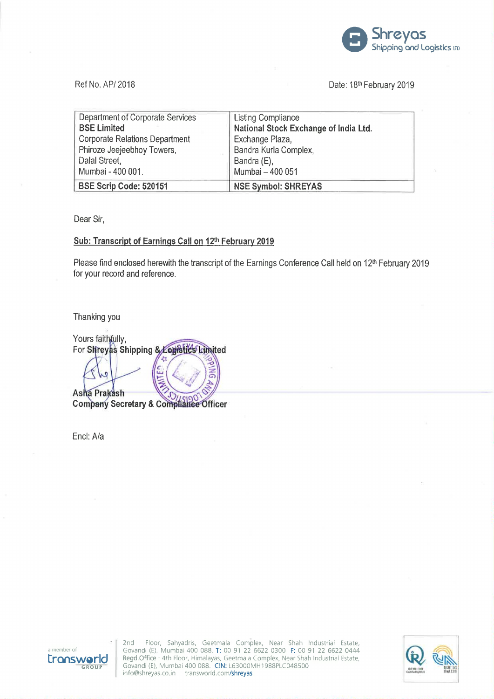

## Ref No. AP/ 2018 **Date: 18th February 2019** Date: 18th February 2019

| <b>Department of Corporate Services</b> | <b>Listing Compliance</b>             |
|-----------------------------------------|---------------------------------------|
| <b>BSE Limited</b>                      | National Stock Exchange of India Ltd. |
| <b>Corporate Relations Department</b>   | Exchange Plaza,                       |
| Phiroze Jeejeebhoy Towers,              | Bandra Kurla Complex,                 |
| Dalal Street,                           | Bandra (E),                           |
| Mumbai - 400 001.                       | Mumbai - 400 051                      |
| <b>BSE Scrip Code: 520151</b>           | <b>NSE Symbol: SHREYAS</b>            |

Dear Sir,

# Sub: Transcript of Earnings Call on 12th February 2019

Please find enclosed herewith the transcript of the Earnings Conference Call held on 12<sup>th</sup> February 2019 for your record and reference.

Thanking you

Yours faithfully, For Shreyas Shipping & Constituted Asha Prakash Company Secretary & Compliance Officer

Encl: A/a



2nd Floor, Sahyadris, Geetmala Complex, Near Shah Industrial Estate, Govandi (E), Mumbai 400 088' T: 00 91 22 6622 0300 F: 00 91 22 6622 0444 r Regd. Office : 4th Floor, Sahyadris, Geetmala Complex, Near Shah Industrial Estate,<br> **FONSWOTIC** Regd. Office : 4th Floor, Himalayas, Geetmala Complex, Near Shah Industrial Estate,<br>
Govandi (E), Mumbai 400 088. CIN: L630

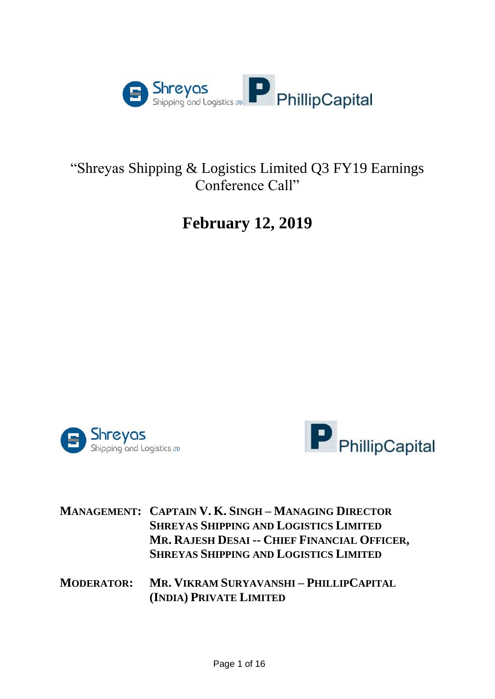

# "Shreyas Shipping & Logistics Limited Q3 FY19 Earnings Conference Call"

# **February 12, 2019**





|  | <b>MANAGEMENT: CAPTAIN V. K. SINGH-MANAGING DIRECTOR</b> |
|--|----------------------------------------------------------|
|  | <b>SHREYAS SHIPPING AND LOGISTICS LIMITED</b>            |
|  | MR. RAJESH DESAI -- CHIEF FINANCIAL OFFICER,             |
|  | <b>SHREYAS SHIPPING AND LOGISTICS LIMITED</b>            |

**MODERATOR: MR. VIKRAM SURYAVANSHI – PHILLIPCAPITAL (INDIA) PRIVATE LIMITED**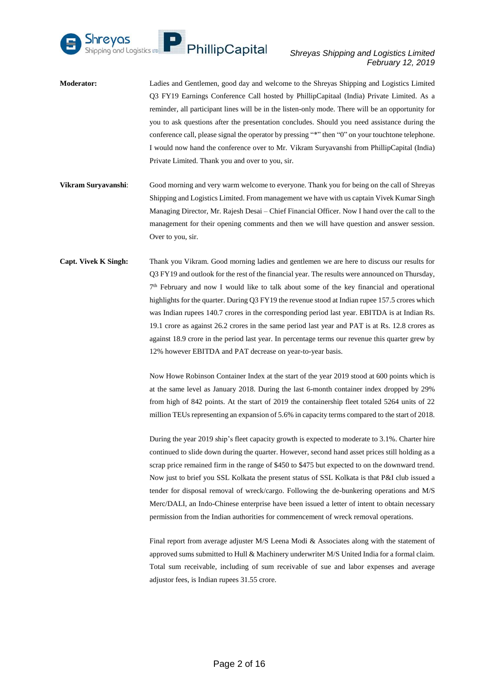

- **Moderator:** Ladies and Gentlemen, good day and welcome to the Shreyas Shipping and Logistics Limited Q3 FY19 Earnings Conference Call hosted by PhillipCapitaal (India) Private Limited. As a reminder, all participant lines will be in the listen-only mode. There will be an opportunity for you to ask questions after the presentation concludes. Should you need assistance during the conference call, please signal the operator by pressing "\*" then "0" on your touchtone telephone. I would now hand the conference over to Mr. Vikram Suryavanshi from PhillipCapital (India) Private Limited. Thank you and over to you, sir.
- **Vikram Suryavanshi**: Good morning and very warm welcome to everyone. Thank you for being on the call of Shreyas Shipping and Logistics Limited. From management we have with us captain Vivek Kumar Singh Managing Director, Mr. Rajesh Desai – Chief Financial Officer. Now I hand over the call to the management for their opening comments and then we will have question and answer session. Over to you, sir.
- **Capt. Vivek K Singh:** Thank you Vikram. Good morning ladies and gentlemen we are here to discuss our results for Q3 FY19 and outlook for the rest of the financial year. The results were announced on Thursday, 7<sup>th</sup> February and now I would like to talk about some of the key financial and operational highlights for the quarter. During Q3 FY19 the revenue stood at Indian rupee 157.5 crores which was Indian rupees 140.7 crores in the corresponding period last year. EBITDA is at Indian Rs. 19.1 crore as against 26.2 crores in the same period last year and PAT is at Rs. 12.8 crores as against 18.9 crore in the period last year. In percentage terms our revenue this quarter grew by 12% however EBITDA and PAT decrease on year-to-year basis.

Now Howe Robinson Container Index at the start of the year 2019 stood at 600 points which is at the same level as January 2018. During the last 6-month container index dropped by 29% from high of 842 points. At the start of 2019 the containership fleet totaled 5264 units of 22 million TEUs representing an expansion of 5.6% in capacity terms compared to the start of 2018.

During the year 2019 ship's fleet capacity growth is expected to moderate to 3.1%. Charter hire continued to slide down during the quarter. However, second hand asset prices still holding as a scrap price remained firm in the range of \$450 to \$475 but expected to on the downward trend. Now just to brief you SSL Kolkata the present status of SSL Kolkata is that P&I club issued a tender for disposal removal of wreck/cargo. Following the de-bunkering operations and M/S Merc/DALI, an Indo-Chinese enterprise have been issued a letter of intent to obtain necessary permission from the Indian authorities for commencement of wreck removal operations.

Final report from average adjuster M/S Leena Modi & Associates along with the statement of approved sums submitted to Hull & Machinery underwriter M/S United India for a formal claim. Total sum receivable, including of sum receivable of sue and labor expenses and average adjustor fees, is Indian rupees 31.55 crore.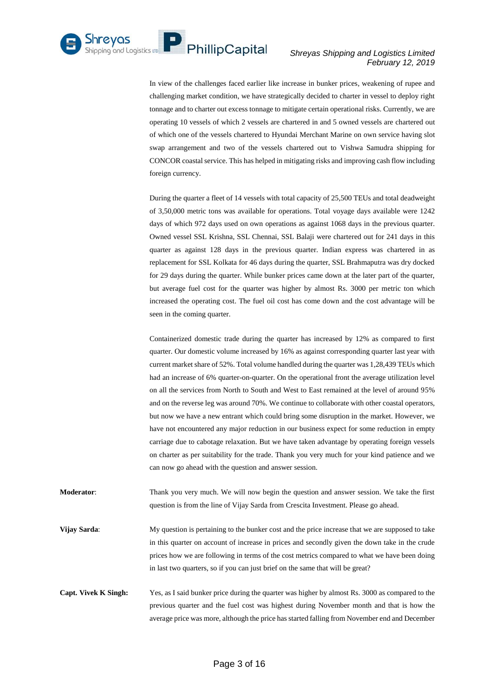

In view of the challenges faced earlier like increase in bunker prices, weakening of rupee and challenging market condition, we have strategically decided to charter in vessel to deploy right tonnage and to charter out excess tonnage to mitigate certain operational risks. Currently, we are operating 10 vessels of which 2 vessels are chartered in and 5 owned vessels are chartered out of which one of the vessels chartered to Hyundai Merchant Marine on own service having slot swap arrangement and two of the vessels chartered out to Vishwa Samudra shipping for CONCOR coastal service. This has helped in mitigating risks and improving cash flow including foreign currency.

During the quarter a fleet of 14 vessels with total capacity of 25,500 TEUs and total deadweight of 3,50,000 metric tons was available for operations. Total voyage days available were 1242 days of which 972 days used on own operations as against 1068 days in the previous quarter. Owned vessel SSL Krishna, SSL Chennai, SSL Balaji were chartered out for 241 days in this quarter as against 128 days in the previous quarter. Indian express was chartered in as replacement for SSL Kolkata for 46 days during the quarter, SSL Brahmaputra was dry docked for 29 days during the quarter. While bunker prices came down at the later part of the quarter, but average fuel cost for the quarter was higher by almost Rs. 3000 per metric ton which increased the operating cost. The fuel oil cost has come down and the cost advantage will be seen in the coming quarter.

Containerized domestic trade during the quarter has increased by 12% as compared to first quarter. Our domestic volume increased by 16% as against corresponding quarter last year with current market share of 52%. Total volume handled during the quarter was 1,28,439 TEUs which had an increase of 6% quarter-on-quarter. On the operational front the average utilization level on all the services from North to South and West to East remained at the level of around 95% and on the reverse leg was around 70%. We continue to collaborate with other coastal operators, but now we have a new entrant which could bring some disruption in the market. However, we have not encountered any major reduction in our business expect for some reduction in empty carriage due to cabotage relaxation. But we have taken advantage by operating foreign vessels on charter as per suitability for the trade. Thank you very much for your kind patience and we can now go ahead with the question and answer session.

**Moderator**: Thank you very much. We will now begin the question and answer session. We take the first question is from the line of Vijay Sarda from Crescita Investment. Please go ahead.

**Vijay Sarda**: My question is pertaining to the bunker cost and the price increase that we are supposed to take in this quarter on account of increase in prices and secondly given the down take in the crude prices how we are following in terms of the cost metrics compared to what we have been doing in last two quarters, so if you can just brief on the same that will be great?

**Capt. Vivek K Singh:** Yes, as I said bunker price during the quarter was higher by almost Rs. 3000 as compared to the previous quarter and the fuel cost was highest during November month and that is how the average price was more, although the price has started falling from November end and December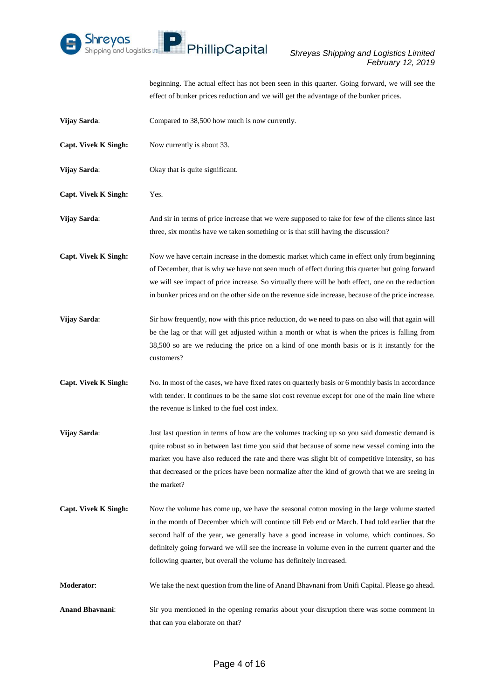

beginning. The actual effect has not been seen in this quarter. Going forward, we will see the effect of bunker prices reduction and we will get the advantage of the bunker prices.

| Vijay Sarda:                | Compared to 38,500 how much is now currently.                                                                                                                                                                                                                                                                                                                                                                                                                        |
|-----------------------------|----------------------------------------------------------------------------------------------------------------------------------------------------------------------------------------------------------------------------------------------------------------------------------------------------------------------------------------------------------------------------------------------------------------------------------------------------------------------|
| Capt. Vivek K Singh:        | Now currently is about 33.                                                                                                                                                                                                                                                                                                                                                                                                                                           |
| Vijay Sarda:                | Okay that is quite significant.                                                                                                                                                                                                                                                                                                                                                                                                                                      |
| <b>Capt. Vivek K Singh:</b> | Yes.                                                                                                                                                                                                                                                                                                                                                                                                                                                                 |
| Vijay Sarda:                | And sir in terms of price increase that we were supposed to take for few of the clients since last<br>three, six months have we taken something or is that still having the discussion?                                                                                                                                                                                                                                                                              |
| Capt. Vivek K Singh:        | Now we have certain increase in the domestic market which came in effect only from beginning<br>of December, that is why we have not seen much of effect during this quarter but going forward<br>we will see impact of price increase. So virtually there will be both effect, one on the reduction<br>in bunker prices and on the other side on the revenue side increase, because of the price increase.                                                          |
| Vijay Sarda:                | Sir how frequently, now with this price reduction, do we need to pass on also will that again will<br>be the lag or that will get adjusted within a month or what is when the prices is falling from<br>38,500 so are we reducing the price on a kind of one month basis or is it instantly for the<br>customers?                                                                                                                                                    |
| <b>Capt. Vivek K Singh:</b> | No. In most of the cases, we have fixed rates on quarterly basis or 6 monthly basis in accordance<br>with tender. It continues to be the same slot cost revenue except for one of the main line where<br>the revenue is linked to the fuel cost index.                                                                                                                                                                                                               |
| Vijay Sarda:                | Just last question in terms of how are the volumes tracking up so you said domestic demand is<br>quite robust so in between last time you said that because of some new vessel coming into the<br>market you have also reduced the rate and there was slight bit of competitive intensity, so has<br>that decreased or the prices have been normalize after the kind of growth that we are seeing in<br>the market?                                                  |
| <b>Capt. Vivek K Singh:</b> | Now the volume has come up, we have the seasonal cotton moving in the large volume started<br>in the month of December which will continue till Feb end or March. I had told earlier that the<br>second half of the year, we generally have a good increase in volume, which continues. So<br>definitely going forward we will see the increase in volume even in the current quarter and the<br>following quarter, but overall the volume has definitely increased. |
| Moderator:                  | We take the next question from the line of Anand Bhavnani from Unifi Capital. Please go ahead.                                                                                                                                                                                                                                                                                                                                                                       |
| <b>Anand Bhavnani:</b>      | Sir you mentioned in the opening remarks about your disruption there was some comment in<br>that can you elaborate on that?                                                                                                                                                                                                                                                                                                                                          |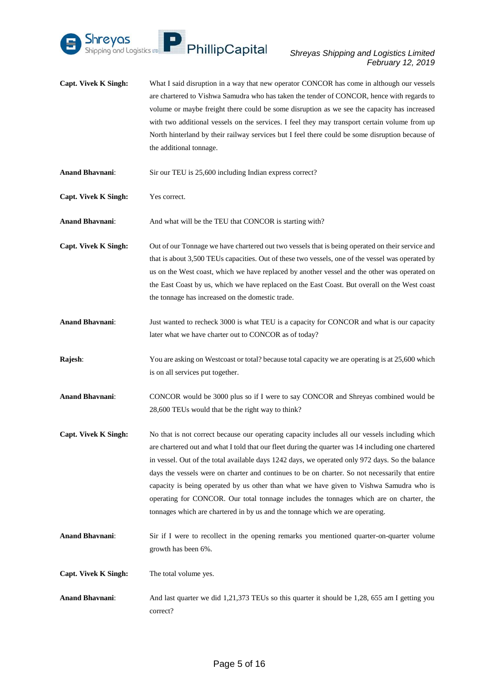

- **Capt. Vivek K Singh:** What I said disruption in a way that new operator CONCOR has come in although our vessels are chartered to Vishwa Samudra who has taken the tender of CONCOR, hence with regards to volume or maybe freight there could be some disruption as we see the capacity has increased with two additional vessels on the services. I feel they may transport certain volume from up North hinterland by their railway services but I feel there could be some disruption because of the additional tonnage.
- **Anand Bhavnani**: Sir our TEU is 25,600 including Indian express correct?
- **Capt. Vivek K Singh:** Yes correct.
- **Anand Bhavnani**: And what will be the TEU that CONCOR is starting with?
- **Capt. Vivek K Singh:** Out of our Tonnage we have chartered out two vessels that is being operated on their service and that is about 3,500 TEUs capacities. Out of these two vessels, one of the vessel was operated by us on the West coast, which we have replaced by another vessel and the other was operated on the East Coast by us, which we have replaced on the East Coast. But overall on the West coast the tonnage has increased on the domestic trade.
- **Anand Bhavnani**: Just wanted to recheck 3000 is what TEU is a capacity for CONCOR and what is our capacity later what we have charter out to CONCOR as of today?
- **Rajesh:** You are asking on Westcoast or total? because total capacity we are operating is at 25,600 which is on all services put together.
- **Anand Bhavnani**: CONCOR would be 3000 plus so if I were to say CONCOR and Shreyas combined would be 28,600 TEUs would that be the right way to think?
- Capt. Vivek K Singh: No that is not correct because our operating capacity includes all our vessels including which are chartered out and what I told that our fleet during the quarter was 14 including one chartered in vessel. Out of the total available days 1242 days, we operated only 972 days. So the balance days the vessels were on charter and continues to be on charter. So not necessarily that entire capacity is being operated by us other than what we have given to Vishwa Samudra who is operating for CONCOR. Our total tonnage includes the tonnages which are on charter, the tonnages which are chartered in by us and the tonnage which we are operating.
- **Anand Bhavnani**: Sir if I were to recollect in the opening remarks you mentioned quarter-on-quarter volume growth has been 6%.
- **Capt. Vivek K Singh:** The total volume yes.
- **Anand Bhavnani**: And last quarter we did 1,21,373 TEUs so this quarter it should be 1,28, 655 am I getting you correct?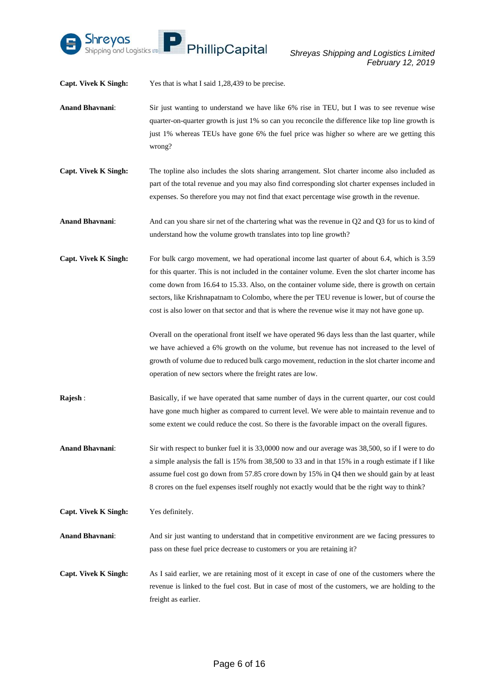

**Capt. Vivek K Singh:** Yes that is what I said 1,28,439 to be precise.

- **Anand Bhavnani**: Sir just wanting to understand we have like 6% rise in TEU, but I was to see revenue wise quarter-on-quarter growth is just 1% so can you reconcile the difference like top line growth is just 1% whereas TEUs have gone 6% the fuel price was higher so where are we getting this wrong?
- **Capt. Vivek K Singh:** The topline also includes the slots sharing arrangement. Slot charter income also included as part of the total revenue and you may also find corresponding slot charter expenses included in expenses. So therefore you may not find that exact percentage wise growth in the revenue.

**Anand Bhavnani**: And can you share sir net of the chartering what was the revenue in Q2 and Q3 for us to kind of understand how the volume growth translates into top line growth?

**Capt. Vivek K Singh:** For bulk cargo movement, we had operational income last quarter of about 6.4, which is 3.59 for this quarter. This is not included in the container volume. Even the slot charter income has come down from 16.64 to 15.33. Also, on the container volume side, there is growth on certain sectors, like Krishnapatnam to Colombo, where the per TEU revenue is lower, but of course the cost is also lower on that sector and that is where the revenue wise it may not have gone up.

> Overall on the operational front itself we have operated 96 days less than the last quarter, while we have achieved a 6% growth on the volume, but revenue has not increased to the level of growth of volume due to reduced bulk cargo movement, reduction in the slot charter income and operation of new sectors where the freight rates are low.

- **Rajesh :** Basically, if we have operated that same number of days in the current quarter, our cost could have gone much higher as compared to current level. We were able to maintain revenue and to some extent we could reduce the cost. So there is the favorable impact on the overall figures.
- **Anand Bhavnani**: Sir with respect to bunker fuel it is 33,0000 now and our average was 38,500, so if I were to do a simple analysis the fall is 15% from 38,500 to 33 and in that 15% in a rough estimate if I like assume fuel cost go down from 57.85 crore down by 15% in Q4 then we should gain by at least 8 crores on the fuel expenses itself roughly not exactly would that be the right way to think?

**Capt. Vivek K Singh:** Yes definitely.

**Anand Bhavnani**: And sir just wanting to understand that in competitive environment are we facing pressures to pass on these fuel price decrease to customers or you are retaining it?

**Capt. Vivek K Singh:** As I said earlier, we are retaining most of it except in case of one of the customers where the revenue is linked to the fuel cost. But in case of most of the customers, we are holding to the freight as earlier.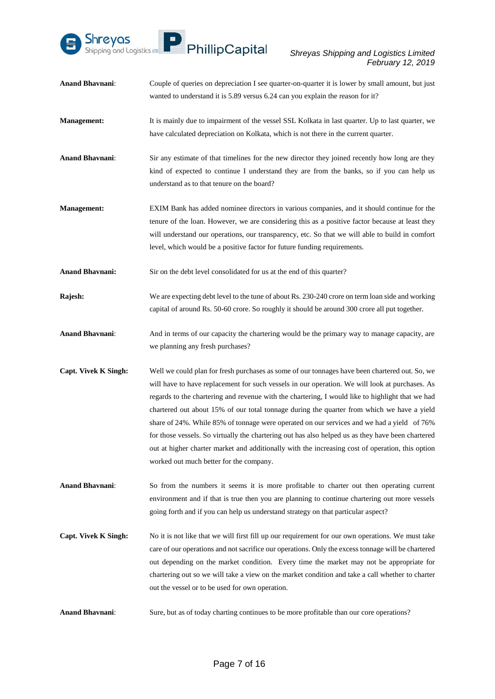

- **Anand Bhavnani**: Couple of queries on depreciation I see quarter-on-quarter it is lower by small amount, but just wanted to understand it is 5.89 versus 6.24 can you explain the reason for it?
- **Management:** It is mainly due to impairment of the vessel SSL Kolkata in last quarter. Up to last quarter, we have calculated depreciation on Kolkata, which is not there in the current quarter.
- **Anand Bhavnani**: Sir any estimate of that timelines for the new director they joined recently how long are they kind of expected to continue I understand they are from the banks, so if you can help us understand as to that tenure on the board?
- **Management:** EXIM Bank has added nominee directors in various companies, and it should continue for the tenure of the loan. However, we are considering this as a positive factor because at least they will understand our operations, our transparency, etc. So that we will able to build in comfort level, which would be a positive factor for future funding requirements.
- **Anand Bhavnani:** Sir on the debt level consolidated for us at the end of this quarter?
- **Rajesh:** We are expecting debt level to the tune of about Rs. 230-240 crore on term loan side and working capital of around Rs. 50-60 crore. So roughly it should be around 300 crore all put together.
- **Anand Bhavnani**: And in terms of our capacity the chartering would be the primary way to manage capacity, are we planning any fresh purchases?
- **Capt. Vivek K Singh:** Well we could plan for fresh purchases as some of our tonnages have been chartered out. So, we will have to have replacement for such vessels in our operation. We will look at purchases. As regards to the chartering and revenue with the chartering, I would like to highlight that we had chartered out about 15% of our total tonnage during the quarter from which we have a yield share of 24%. While 85% of tonnage were operated on our services and we had a yield of 76% for those vessels. So virtually the chartering out has also helped us as they have been chartered out at higher charter market and additionally with the increasing cost of operation, this option worked out much better for the company.
- **Anand Bhavnani**: So from the numbers it seems it is more profitable to charter out then operating current environment and if that is true then you are planning to continue chartering out more vessels going forth and if you can help us understand strategy on that particular aspect?
- **Capt. Vivek K Singh:** No it is not like that we will first fill up our requirement for our own operations. We must take care of our operations and not sacrifice our operations. Only the excess tonnage will be chartered out depending on the market condition. Every time the market may not be appropriate for chartering out so we will take a view on the market condition and take a call whether to charter out the vessel or to be used for own operation.
- **Anand Bhavnani**: Sure, but as of today charting continues to be more profitable than our core operations?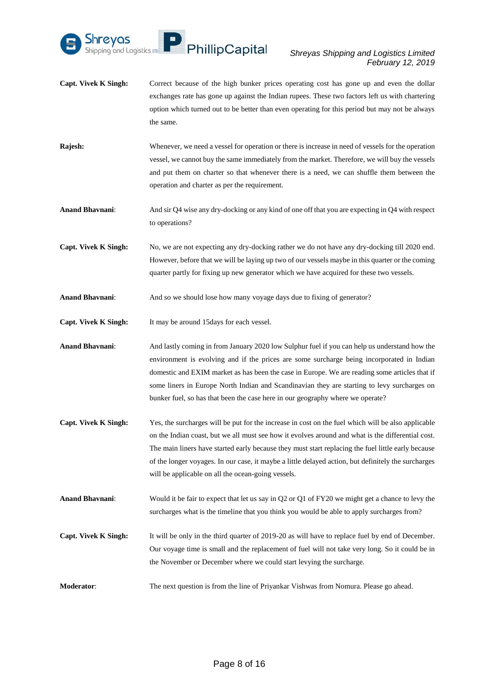

- **Capt. Vivek K Singh:** Correct because of the high bunker prices operating cost has gone up and even the dollar exchanges rate has gone up against the Indian rupees. These two factors left us with chartering option which turned out to be better than even operating for this period but may not be always the same.
- **Rajesh:** Whenever, we need a vessel for operation or there is increase in need of vessels for the operation vessel, we cannot buy the same immediately from the market. Therefore, we will buy the vessels and put them on charter so that whenever there is a need, we can shuffle them between the operation and charter as per the requirement.
- **Anand Bhavnani**: And sir Q4 wise any dry-docking or any kind of one off that you are expecting in Q4 with respect to operations?
- **Capt. Vivek K Singh:** No, we are not expecting any dry-docking rather we do not have any dry-docking till 2020 end. However, before that we will be laying up two of our vessels maybe in this quarter or the coming quarter partly for fixing up new generator which we have acquired for these two vessels.
- **Anand Bhavnani:** And so we should lose how many voyage days due to fixing of generator?
- **Capt. Vivek K Singh:** It may be around 15days for each vessel.
- **Anand Bhavnani**: And lastly coming in from January 2020 low Sulphur fuel if you can help us understand how the environment is evolving and if the prices are some surcharge being incorporated in Indian domestic and EXIM market as has been the case in Europe. We are reading some articles that if some liners in Europe North Indian and Scandinavian they are starting to levy surcharges on bunker fuel, so has that been the case here in our geography where we operate?
- **Capt. Vivek K Singh:** Yes, the surcharges will be put for the increase in cost on the fuel which will be also applicable on the Indian coast, but we all must see how it evolves around and what is the differential cost. The main liners have started early because they must start replacing the fuel little early because of the longer voyages. In our case, it maybe a little delayed action, but definitely the surcharges will be applicable on all the ocean-going vessels.
- **Anand Bhavnani**: Would it be fair to expect that let us say in Q2 or Q1 of FY20 we might get a chance to levy the surcharges what is the timeline that you think you would be able to apply surcharges from?
- **Capt. Vivek K Singh:** It will be only in the third quarter of 2019-20 as will have to replace fuel by end of December. Our voyage time is small and the replacement of fuel will not take very long. So it could be in the November or December where we could start levying the surcharge.
- **Moderator:** The next question is from the line of Priyankar Vishwas from Nomura. Please go ahead.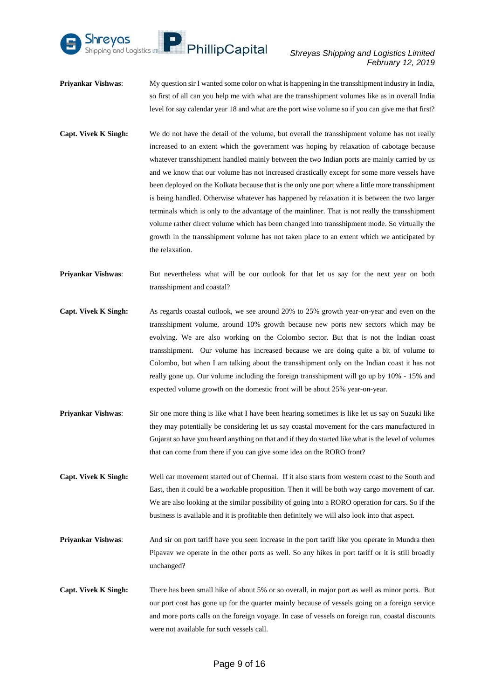

- **Priyankar Vishwas**: My question sir I wanted some color on what is happening in the transshipment industry in India, so first of all can you help me with what are the transshipment volumes like as in overall India level for say calendar year 18 and what are the port wise volume so if you can give me that first?
- **Capt. Vivek K Singh:** We do not have the detail of the volume, but overall the transshipment volume has not really increased to an extent which the government was hoping by relaxation of cabotage because whatever transshipment handled mainly between the two Indian ports are mainly carried by us and we know that our volume has not increased drastically except for some more vessels have been deployed on the Kolkata because that is the only one port where a little more transshipment is being handled. Otherwise whatever has happened by relaxation it is between the two larger terminals which is only to the advantage of the mainliner. That is not really the transshipment volume rather direct volume which has been changed into transshipment mode. So virtually the growth in the transshipment volume has not taken place to an extent which we anticipated by the relaxation.
- **Priyankar Vishwas:** But nevertheless what will be our outlook for that let us say for the next year on both transshipment and coastal?
- **Capt. Vivek K Singh:** As regards coastal outlook, we see around 20% to 25% growth year-on-year and even on the transshipment volume, around 10% growth because new ports new sectors which may be evolving. We are also working on the Colombo sector. But that is not the Indian coast transshipment. Our volume has increased because we are doing quite a bit of volume to Colombo, but when I am talking about the transshipment only on the Indian coast it has not really gone up. Our volume including the foreign transshipment will go up by 10% - 15% and expected volume growth on the domestic front will be about 25% year-on-year.
- **Priyankar Vishwas:** Sir one more thing is like what I have been hearing sometimes is like let us say on Suzuki like they may potentially be considering let us say coastal movement for the cars manufactured in Gujarat so have you heard anything on that and if they do started like what is the level of volumes that can come from there if you can give some idea on the RORO front?
- **Capt. Vivek K Singh:** Well car movement started out of Chennai. If it also starts from western coast to the South and East, then it could be a workable proposition. Then it will be both way cargo movement of car. We are also looking at the similar possibility of going into a RORO operation for cars. So if the business is available and it is profitable then definitely we will also look into that aspect.
- **Priyankar Vishwas:** And sir on port tariff have you seen increase in the port tariff like you operate in Mundra then Pipavav we operate in the other ports as well. So any hikes in port tariff or it is still broadly unchanged?
- **Capt. Vivek K Singh:** There has been small hike of about 5% or so overall, in major port as well as minor ports. But our port cost has gone up for the quarter mainly because of vessels going on a foreign service and more ports calls on the foreign voyage. In case of vessels on foreign run, coastal discounts were not available for such vessels call.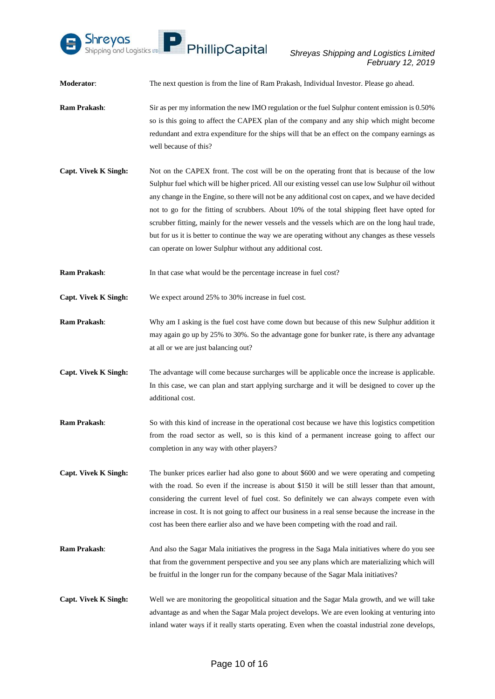

**Moderator:** The next question is from the line of Ram Prakash, Individual Investor. Please go ahead.

- **Ram Prakash:** Sir as per my information the new IMO regulation or the fuel Sulphur content emission is 0.50% so is this going to affect the CAPEX plan of the company and any ship which might become redundant and extra expenditure for the ships will that be an effect on the company earnings as well because of this?
- **Capt. Vivek K Singh:** Not on the CAPEX front. The cost will be on the operating front that is because of the low Sulphur fuel which will be higher priced. All our existing vessel can use low Sulphur oil without any change in the Engine, so there will not be any additional cost on capex, and we have decided not to go for the fitting of scrubbers. About 10% of the total shipping fleet have opted for scrubber fitting, mainly for the newer vessels and the vessels which are on the long haul trade, but for us it is better to continue the way we are operating without any changes as these vessels can operate on lower Sulphur without any additional cost.
- **Ram Prakash:** In that case what would be the percentage increase in fuel cost?

**Capt. Vivek K Singh:** We expect around 25% to 30% increase in fuel cost.

- **Ram Prakash**: Why am I asking is the fuel cost have come down but because of this new Sulphur addition it may again go up by 25% to 30%. So the advantage gone for bunker rate, is there any advantage at all or we are just balancing out?
- **Capt. Vivek K Singh:** The advantage will come because surcharges will be applicable once the increase is applicable. In this case, we can plan and start applying surcharge and it will be designed to cover up the additional cost.
- **Ram Prakash**: So with this kind of increase in the operational cost because we have this logistics competition from the road sector as well, so is this kind of a permanent increase going to affect our completion in any way with other players?
- **Capt. Vivek K Singh:** The bunker prices earlier had also gone to about \$600 and we were operating and competing with the road. So even if the increase is about \$150 it will be still lesser than that amount, considering the current level of fuel cost. So definitely we can always compete even with increase in cost. It is not going to affect our business in a real sense because the increase in the cost has been there earlier also and we have been competing with the road and rail.
- **Ram Prakash**: And also the Sagar Mala initiatives the progress in the Saga Mala initiatives where do you see that from the government perspective and you see any plans which are materializing which will be fruitful in the longer run for the company because of the Sagar Mala initiatives?
- **Capt. Vivek K Singh:** Well we are monitoring the geopolitical situation and the Sagar Mala growth, and we will take advantage as and when the Sagar Mala project develops. We are even looking at venturing into inland water ways if it really starts operating. Even when the coastal industrial zone develops,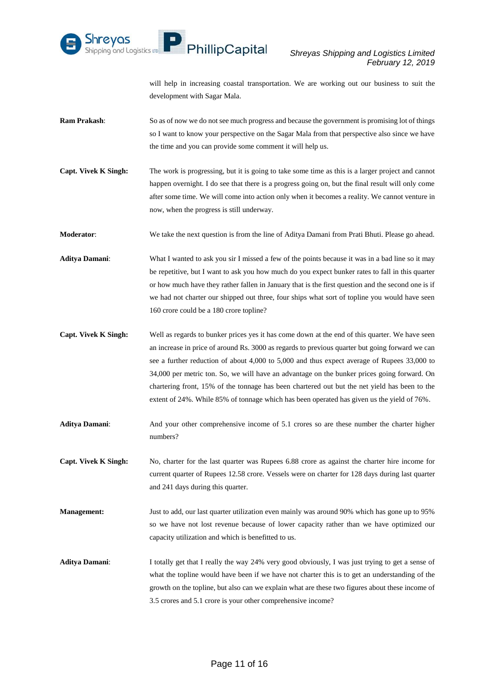

will help in increasing coastal transportation. We are working out our business to suit the development with Sagar Mala.

- **Ram Prakash:** So as of now we do not see much progress and because the government is promising lot of things so I want to know your perspective on the Sagar Mala from that perspective also since we have the time and you can provide some comment it will help us.
- **Capt. Vivek K Singh:** The work is progressing, but it is going to take some time as this is a larger project and cannot happen overnight. I do see that there is a progress going on, but the final result will only come after some time. We will come into action only when it becomes a reality. We cannot venture in now, when the progress is still underway.

**Moderator**: We take the next question is from the line of Aditya Damani from Prati Bhuti. Please go ahead.

- **Aditya Damani**: What I wanted to ask you sir I missed a few of the points because it was in a bad line so it may be repetitive, but I want to ask you how much do you expect bunker rates to fall in this quarter or how much have they rather fallen in January that is the first question and the second one is if we had not charter our shipped out three, four ships what sort of topline you would have seen 160 crore could be a 180 crore topline?
- **Capt. Vivek K Singh:** Well as regards to bunker prices yes it has come down at the end of this quarter. We have seen an increase in price of around Rs. 3000 as regards to previous quarter but going forward we can see a further reduction of about 4,000 to 5,000 and thus expect average of Rupees 33,000 to 34,000 per metric ton. So, we will have an advantage on the bunker prices going forward. On chartering front, 15% of the tonnage has been chartered out but the net yield has been to the extent of 24%. While 85% of tonnage which has been operated has given us the yield of 76%.
- **Aditya Damani**: And your other comprehensive income of 5.1 crores so are these number the charter higher numbers?
- **Capt. Vivek K Singh:** No, charter for the last quarter was Rupees 6.88 crore as against the charter hire income for current quarter of Rupees 12.58 crore. Vessels were on charter for 128 days during last quarter and 241 days during this quarter.
- **Management:** Just to add, our last quarter utilization even mainly was around 90% which has gone up to 95% so we have not lost revenue because of lower capacity rather than we have optimized our capacity utilization and which is benefitted to us.
- Aditya Damani: I totally get that I really the way 24% very good obviously, I was just trying to get a sense of what the topline would have been if we have not charter this is to get an understanding of the growth on the topline, but also can we explain what are these two figures about these income of 3.5 crores and 5.1 crore is your other comprehensive income?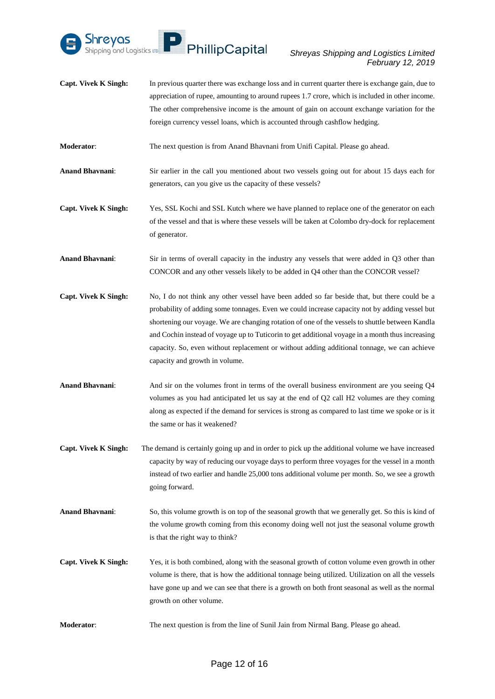

**Capt. Vivek K Singh:** In previous quarter there was exchange loss and in current quarter there is exchange gain, due to appreciation of rupee, amounting to around rupees 1.7 crore, which is included in other income. The other comprehensive income is the amount of gain on account exchange variation for the foreign currency vessel loans, which is accounted through cashflow hedging.

**Moderator**: The next question is from Anand Bhavnani from Unifi Capital. Please go ahead.

- **Anand Bhavnani**: Sir earlier in the call you mentioned about two vessels going out for about 15 days each for generators, can you give us the capacity of these vessels?
- **Capt. Vivek K Singh:** Yes, SSL Kochi and SSL Kutch where we have planned to replace one of the generator on each of the vessel and that is where these vessels will be taken at Colombo dry-dock for replacement of generator.

**Anand Bhavnani**: Sir in terms of overall capacity in the industry any vessels that were added in Q3 other than CONCOR and any other vessels likely to be added in Q4 other than the CONCOR vessel?

- **Capt. Vivek K Singh:** No, I do not think any other vessel have been added so far beside that, but there could be a probability of adding some tonnages. Even we could increase capacity not by adding vessel but shortening our voyage. We are changing rotation of one of the vessels to shuttle between Kandla and Cochin instead of voyage up to Tuticorin to get additional voyage in a month thus increasing capacity. So, even without replacement or without adding additional tonnage, we can achieve capacity and growth in volume.
- **Anand Bhavnani**: And sir on the volumes front in terms of the overall business environment are you seeing Q4 volumes as you had anticipated let us say at the end of Q2 call H2 volumes are they coming along as expected if the demand for services is strong as compared to last time we spoke or is it the same or has it weakened?
- **Capt. Vivek K Singh:** The demand is certainly going up and in order to pick up the additional volume we have increased capacity by way of reducing our voyage days to perform three voyages for the vessel in a month instead of two earlier and handle 25,000 tons additional volume per month. So, we see a growth going forward.
- **Anand Bhavnani**: So, this volume growth is on top of the seasonal growth that we generally get. So this is kind of the volume growth coming from this economy doing well not just the seasonal volume growth is that the right way to think?
- **Capt. Vivek K Singh:** Yes, it is both combined, along with the seasonal growth of cotton volume even growth in other volume is there, that is how the additional tonnage being utilized. Utilization on all the vessels have gone up and we can see that there is a growth on both front seasonal as well as the normal growth on other volume.
- **Moderator**: The next question is from the line of Sunil Jain from Nirmal Bang. Please go ahead.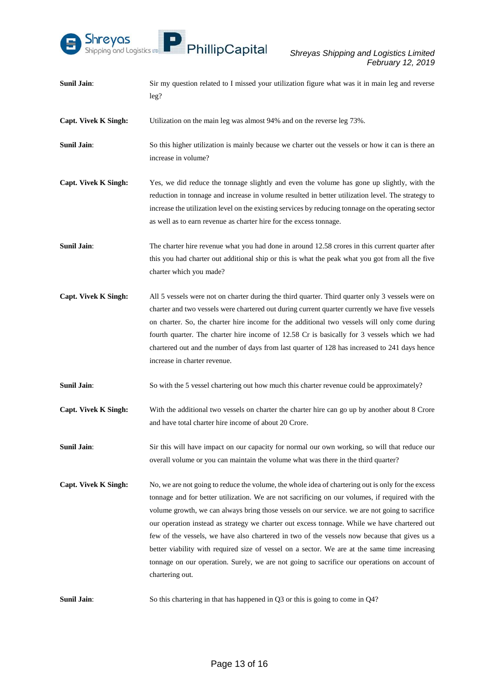

| <b>Sunil Jain:</b>          | Sir my question related to I missed your utilization figure what was it in main leg and reverse<br>leg?                                                                                                                                                                                                                                                                                                                                                                                                                                                                                                                                                                                                                     |
|-----------------------------|-----------------------------------------------------------------------------------------------------------------------------------------------------------------------------------------------------------------------------------------------------------------------------------------------------------------------------------------------------------------------------------------------------------------------------------------------------------------------------------------------------------------------------------------------------------------------------------------------------------------------------------------------------------------------------------------------------------------------------|
| <b>Capt. Vivek K Singh:</b> | Utilization on the main leg was almost 94% and on the reverse leg 73%.                                                                                                                                                                                                                                                                                                                                                                                                                                                                                                                                                                                                                                                      |
| <b>Sunil Jain:</b>          | So this higher utilization is mainly because we charter out the vessels or how it can is there an<br>increase in volume?                                                                                                                                                                                                                                                                                                                                                                                                                                                                                                                                                                                                    |
| <b>Capt. Vivek K Singh:</b> | Yes, we did reduce the tonnage slightly and even the volume has gone up slightly, with the<br>reduction in tonnage and increase in volume resulted in better utilization level. The strategy to<br>increase the utilization level on the existing services by reducing tonnage on the operating sector<br>as well as to earn revenue as charter hire for the excess tonnage.                                                                                                                                                                                                                                                                                                                                                |
| <b>Sunil Jain:</b>          | The charter hire revenue what you had done in around 12.58 crores in this current quarter after<br>this you had charter out additional ship or this is what the peak what you got from all the five<br>charter which you made?                                                                                                                                                                                                                                                                                                                                                                                                                                                                                              |
| <b>Capt. Vivek K Singh:</b> | All 5 vessels were not on charter during the third quarter. Third quarter only 3 vessels were on<br>charter and two vessels were chartered out during current quarter currently we have five vessels<br>on charter. So, the charter hire income for the additional two vessels will only come during<br>fourth quarter. The charter hire income of 12.58 Cr is basically for 3 vessels which we had<br>chartered out and the number of days from last quarter of 128 has increased to 241 days hence<br>increase in charter revenue.                                                                                                                                                                                        |
| <b>Sunil Jain:</b>          | So with the 5 vessel chartering out how much this charter revenue could be approximately?                                                                                                                                                                                                                                                                                                                                                                                                                                                                                                                                                                                                                                   |
| <b>Capt. Vivek K Singh:</b> | With the additional two vessels on charter the charter hire can go up by another about 8 Crore<br>and have total charter hire income of about 20 Crore.                                                                                                                                                                                                                                                                                                                                                                                                                                                                                                                                                                     |
| <b>Sunil Jain:</b>          | Sir this will have impact on our capacity for normal our own working, so will that reduce our<br>overall volume or you can maintain the volume what was there in the third quarter?                                                                                                                                                                                                                                                                                                                                                                                                                                                                                                                                         |
| <b>Capt. Vivek K Singh:</b> | No, we are not going to reduce the volume, the whole idea of chartering out is only for the excess<br>tonnage and for better utilization. We are not sacrificing on our volumes, if required with the<br>volume growth, we can always bring those vessels on our service. we are not going to sacrifice<br>our operation instead as strategy we charter out excess tonnage. While we have chartered out<br>few of the vessels, we have also chartered in two of the vessels now because that gives us a<br>better viability with required size of vessel on a sector. We are at the same time increasing<br>tonnage on our operation. Surely, we are not going to sacrifice our operations on account of<br>chartering out. |
| <b>Sunil Jain:</b>          | So this chartering in that has happened in $Q3$ or this is going to come in $Q4$ ?                                                                                                                                                                                                                                                                                                                                                                                                                                                                                                                                                                                                                                          |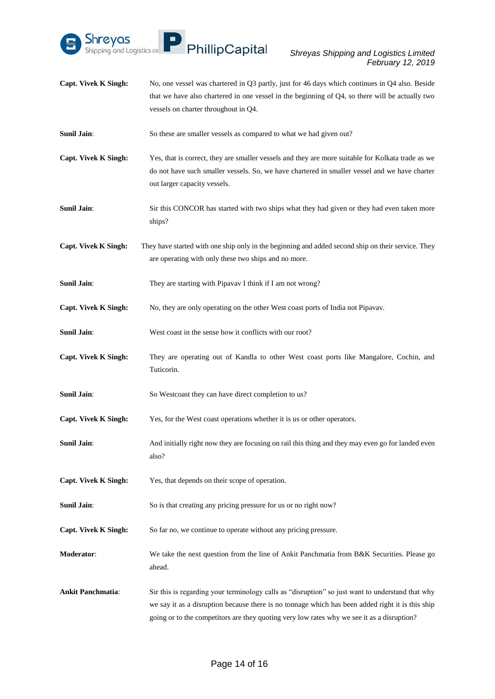

- **Capt. Vivek K Singh:** No, one vessel was chartered in Q3 partly, just for 46 days which continues in Q4 also. Beside that we have also chartered in one vessel in the beginning of Q4, so there will be actually two vessels on charter throughout in Q4.
- Sunil Jain: So these are smaller vessels as compared to what we had given out?
- **Capt. Vivek K Singh:** Yes, that is correct, they are smaller vessels and they are more suitable for Kolkata trade as we do not have such smaller vessels. So, we have chartered in smaller vessel and we have charter out larger capacity vessels.
- **Sunil Jain:** Sir this CONCOR has started with two ships what they had given or they had even taken more ships?
- **Capt. Vivek K Singh:** They have started with one ship only in the beginning and added second ship on their service. They are operating with only these two ships and no more.
- **Sunil Jain:** They are starting with Pipavav I think if I am not wrong?
- **Capt. Vivek K Singh:** No, they are only operating on the other West coast ports of India not Pipavav.
- **Sunil Jain:** West coast in the sense how it conflicts with our root?
- **Capt. Vivek K Singh:** They are operating out of Kandla to other West coast ports like Mangalore, Cochin, and Tuticorin.
- **Sunil Jain:** So Westcoast they can have direct completion to us?
- **Capt. Vivek K Singh:** Yes, for the West coast operations whether it is us or other operators.
- **Sunil Jain**: And initially right now they are focusing on rail this thing and they may even go for landed even also?
- **Capt. Vivek K Singh:** Yes, that depends on their scope of operation.
- **Sunil Jain:** So is that creating any pricing pressure for us or no right now?
- **Capt. Vivek K Singh:** So far no, we continue to operate without any pricing pressure.
- **Moderator:** We take the next question from the line of Ankit Panchmatia from B&K Securities. Please go ahead.
- **Ankit Panchmatia**: Sir this is regarding your terminology calls as "disruption" so just want to understand that why we say it as a disruption because there is no tonnage which has been added right it is this ship going or to the competitors are they quoting very low rates why we see it as a disruption?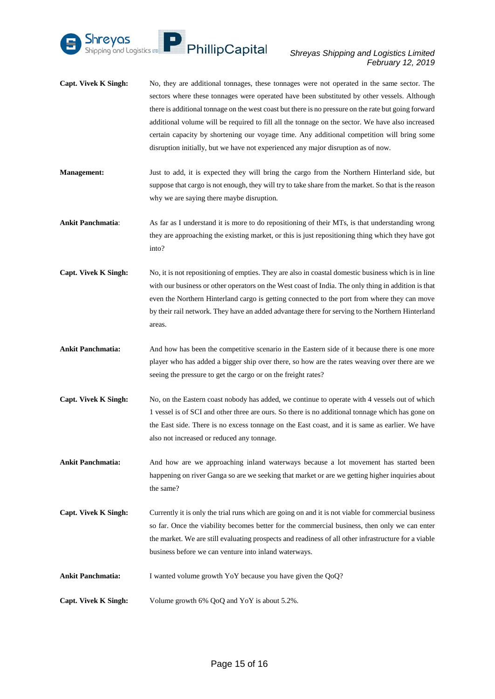

- **Capt. Vivek K Singh:** No, they are additional tonnages, these tonnages were not operated in the same sector. The sectors where these tonnages were operated have been substituted by other vessels. Although there is additional tonnage on the west coast but there is no pressure on the rate but going forward additional volume will be required to fill all the tonnage on the sector. We have also increased certain capacity by shortening our voyage time. Any additional competition will bring some disruption initially, but we have not experienced any major disruption as of now.
- **Management:** Just to add, it is expected they will bring the cargo from the Northern Hinterland side, but suppose that cargo is not enough, they will try to take share from the market. So that is the reason why we are saying there maybe disruption.
- **Ankit Panchmatia**: As far as I understand it is more to do repositioning of their MTs, is that understanding wrong they are approaching the existing market, or this is just repositioning thing which they have got into?
- **Capt. Vivek K Singh:** No, it is not repositioning of empties. They are also in coastal domestic business which is in line with our business or other operators on the West coast of India. The only thing in addition is that even the Northern Hinterland cargo is getting connected to the port from where they can move by their rail network. They have an added advantage there for serving to the Northern Hinterland areas.
- **Ankit Panchmatia:** And how has been the competitive scenario in the Eastern side of it because there is one more player who has added a bigger ship over there, so how are the rates weaving over there are we seeing the pressure to get the cargo or on the freight rates?
- **Capt. Vivek K Singh:** No, on the Eastern coast nobody has added, we continue to operate with 4 vessels out of which 1 vessel is of SCI and other three are ours. So there is no additional tonnage which has gone on the East side. There is no excess tonnage on the East coast, and it is same as earlier. We have also not increased or reduced any tonnage.

**Ankit Panchmatia:** And how are we approaching inland waterways because a lot movement has started been happening on river Ganga so are we seeking that market or are we getting higher inquiries about the same?

- **Capt. Vivek K Singh:** Currently it is only the trial runs which are going on and it is not viable for commercial business so far. Once the viability becomes better for the commercial business, then only we can enter the market. We are still evaluating prospects and readiness of all other infrastructure for a viable business before we can venture into inland waterways.
- Ankit Panchmatia: I wanted volume growth YoY because you have given the QoQ?
- **Capt. Vivek K Singh:** Volume growth 6% QoQ and YoY is about 5.2%.